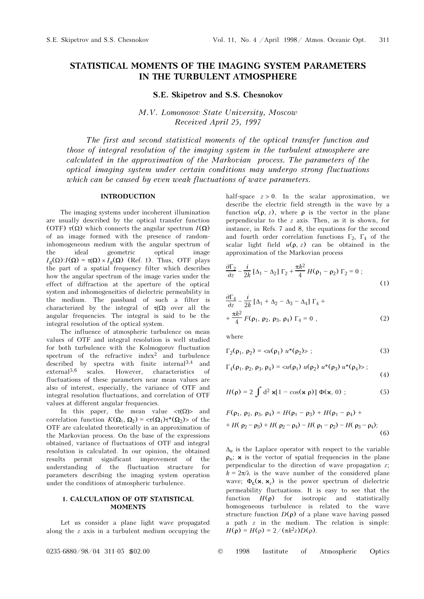# STATISTICAL MOMENTS OF THE IMAGING SYSTEM PARAMETERS IN THE TURBULENT ATMOSPHERE

## S.E. Skipetrov and S.S. Chesnokov

M.V. Lomonosov State University, Moscow Received April 25, 1997

The first and second statistical moments of the optical transfer function and those of integral resolution of the imaging system in the turbulent atmosphere are calculated in the approximation of the Markovian process. The parameters of the optical imaging system under certain conditions may undergo strong fluctuations which can be caused by even weak fluctuations of wave parameters.

# **INTRODUCTION**

The imaging systems under incoherent illumination are usually described by the optical transfer function (OTF)  $\tau(\Omega)$  which connects the angular spectrum  $I(\Omega)$ of an image formed with the presence of randominhomogeneous medium with the angular spectrum of the ideal geometric optical image  $I_g(\Omega)$ : $I(\Omega) = \tau(\Omega) \times I_g(\Omega)$  (Ref. 1). Thus, OTF plays the part of a spatial frequency filter which describes how the angular spectrum of the image varies under the effect of diffraction at the aperture of the optical system and inhomogeneities of dielectric permeability in the medium. The passband of such a filter is characterized by the integral of  $\tau(\Omega)$  over all the angular frequencies. The integral is said to be the integral resolution of the optical system.

The influence of atmospheric turbulence on mean values of OTF and integral resolution is well studied for both turbulence with the Kolmogorov fluctuation spectrum of the refractive index<sup>2</sup> and turbulence described by spectra with finite internal<sup>3,4</sup> and described by spectra with finite internal<sup>3,4</sup> and external<sup>5,6</sup> scales. However, characteristics of characteristics fluctuations of these parameters near mean values are also of interest, especially, the variance of OTF and integral resolution fluctuations, and correlation of OTF values at different angular frequencies.

In this paper, the mean value  $\langle \tau(\Omega) \rangle$  and correlation function  $K(\Omega_1, \Omega_2) = \langle \tau(\Omega_1) \tau^*(\Omega_2) \rangle$  of the OTF are calculated theoretically in an approximation of the Markovian process. On the base of the expressions obtained, variance of fluctuations of OTF and integral resolution is calculated. In our opinion, the obtained results permit significant improvement of the understanding of the fluctuation structure for parameters describing the imaging system operation under the conditions of atmospheric turbulence.

# 1. CALCULATION OF OTF STATISTICAL

Let us consider a plane light wave propagated along the z axis in a turbulent medium occupying the half-space  $z > 0$ . In the scalar approximation, we describe the electric field strength in the wave by a function  $u(\rho, z)$ , where  $\rho$  is the vector in the plane perpendicular to the z axis. Then, as it is shown, for instance, in Refs. 7 and 8, the equations for the second and fourth order correlation functions  $\Gamma_2$ ,  $\Gamma_4$  of the scalar light field  $y(\Omega, z)$  can be obtained in the scalar light field  $u(\rho, z)$  can be obtained in the approximation of the Markovian process

$$
\frac{\partial \Gamma_2}{\partial z} - \frac{i}{2k} \left[ \Delta_1 - \Delta_2 \right] \Gamma_2 + \frac{\pi k^2}{4} H(\rho_1 - \rho_2) \Gamma_2 = 0 ; \tag{1}
$$

$$
\frac{\partial \Gamma_4}{\partial z} - \frac{i}{2k} \left[ \Delta_1 + \Delta_2 - \Delta_3 - \Delta_4 \right] \Gamma_4 +
$$
  
+ 
$$
\frac{\pi k^2}{4} F(\rho_1, \rho_2, \rho_3, \rho_4) \Gamma_4 = 0 ,
$$
 (2)

where

$$
\Gamma_2(\rho_1, \rho_2) = \langle u(\rho_1) \ u^*(\rho_2) \rangle ; \tag{3}
$$

$$
\Gamma_4(\rho_1, \rho_2, \rho_3, \rho_4) = \langle u(\rho_1) u(\rho_2) u^*(\rho_3) u^*(\rho_4) \rangle ; \tag{4}
$$

$$
H(\rho) = 2 \int d^2 \mathbf{x} [1 - \cos(\mathbf{x} \rho)] \Phi(\mathbf{x}, 0) ; \qquad (5)
$$

$$
F(\rho_1, \rho_2, \rho_3, \rho_4) = H(\rho_1 - \rho_3) + H(\rho_1 - \rho_4) ++ H(\rho_2 - \rho_3) + H(\rho_2 - \rho_4) - H(\rho_1 - \rho_2) - H(\rho_3 - \rho_4);
$$
(6)

 $\Delta_n$  is the Laplace operator with respect to the variable  $\rho_n$ ; **x** is the vector of spatial frequencies in the plane perpendicular to the direction of wave propagation  $z$ :  $k = 2\pi/\lambda$  is the wave number of the considered plane wave;  $\Phi_{\epsilon}(\mathbf{x}, \mathbf{x}_z)$  is the power spectrum of dielectric permeability fluctuations. It is easy to see that the function  $H(\rho)$  for isotropic and statistically homogeneous turbulence is related to the wave structure function  $D(\rho)$  of a plane wave having passed a path  $z$  in the medium. The relation is simple:  $H(\rho) = H(\rho) = 2/(\pi k^2 z) D(\rho).$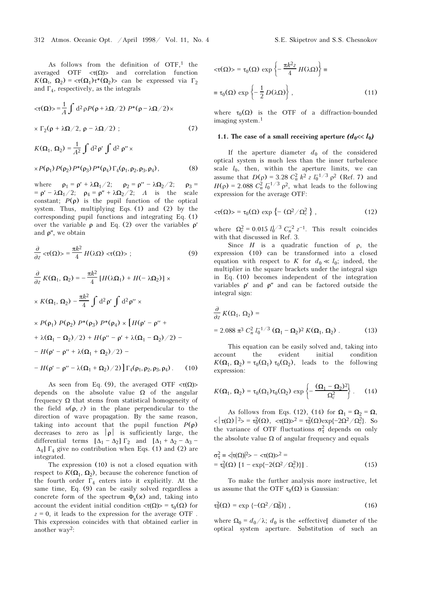As follows from the definition of  $OTF<sup>1</sup>$ , the averaged OTF  $\langle \tau(\Omega) \rangle$  and correlation function  $K(\Omega_1, \Omega_2) = \langle \tau(\Omega_1) \tau^*(\Omega_2) \rangle$  can be expressed via  $\Gamma_2$ and  $\Gamma_4$ , respectively, as the integrals

$$
\langle \tau(\Omega) \rangle = \frac{1}{A} \int d^2 \rho P(\rho + \lambda \Omega / 2) P^*(\rho - \lambda \Omega / 2) \times
$$
  
 
$$
\times \Gamma_2(\rho + \lambda \Omega / 2, \rho - \lambda \Omega / 2); \qquad (7)
$$

$$
K(\Omega_1, \Omega_2) = \frac{1}{A^2} \int d^2 \rho' \int d^2 \rho'' \times
$$

$$
\times P(\rho_1) P(\rho_2) P^*(\rho_3) P^*(\rho_4) \Gamma_4(\rho_1, \rho_2, \rho_3, \rho_4), \tag{8}
$$

where  $\rho_1 = \rho' + \lambda \Omega_1/2$ ;  $\rho_2 = \rho'' - \lambda \Omega_2/2$ ;  $\rho_3 =$ <br> $-\alpha' - \lambda \Omega_1/2$ ;  $\rho_1 - \alpha'' + \lambda \Omega_2/2$ ;  $\Delta_1$  is the scale  $= \rho' - \lambda \Omega_1/2$ ;  $\rho_4 = \rho'' + \lambda \Omega_2/2$ ; A is the scale constant;  $P(\rho)$  is the pupil function of the optical system. Thus, multiplying Eqs. (1) and (2) by the corresponding pupil functions and integrating Eq. (1) over the variable  $ρ$  and Eq. (2) over the variables  $ρ'$ and  $\rho''$ , we obtain

$$
\frac{\partial}{\partial z} <\tau(\Omega) > \frac{\pi k^2}{4} H(\lambda \Omega) <\tau(\Omega) > ; \qquad (9)
$$

$$
\frac{\partial}{\partial z} K(\Omega_1, \Omega_2) = -\frac{\pi k^2}{4} [H(\lambda \Omega_1) + H(-\lambda \Omega_2)] \times
$$
  
\n
$$
\times K(\Omega_1, \Omega_2) - \frac{\pi k^2}{4} \int d^2 \rho' \int d^2 \rho'' \times
$$
  
\n
$$
\times P(\rho_1) P(\rho_2) P^*(\rho_3) P^*(\rho_4) \times [H(\rho' - \rho'' +
$$
  
\n
$$
+ \lambda(\Omega_1 - \Omega_2) / 2) + H(\rho'' - \rho' + \lambda(\Omega_1 - \Omega_2) / 2) -
$$
  
\n
$$
- H(\rho' - \rho'' + \lambda(\Omega_1 + \Omega_2) / 2) \Gamma_4(\rho_1, \rho_2, \rho_3, \rho_4).
$$
 (10)

As seen from Eq. (9), the averaged OTF  $\langle \tau(\Omega) \rangle$ depends on the absolute value  $\Omega$  of the angular frequency  $\Omega$  that stems from statistical homogeneity of the field  $u(\rho, z)$  in the plane perpendicular to the direction of wave propagation. By the same reason, taking into account that the pupil function  $P(\rho)$ decreases to zero as  $|\rho|$  is sufficiently large, the differential terms  $[\Delta_1 - \Delta_2] \Gamma_2$  and  $[\Delta_1 + \Delta_2 - \Delta_3 - \Delta_3] \Gamma_2$  and  $[\Delta_1 + \Delta_2] \Gamma_3$  and  $[\Delta_2]$  are  $\Delta_4$ ]  $\Gamma_4$  give no contribution when Eqs. (1) and (2) are negated integrated.

The expression (10) is not a closed equation with respect to  $K(\Omega_1, \Omega_2)$ , because the coherence function of the fourth order  $\Gamma_4$  enters into it explicitly. At the same time,  $F_a$  (9) can be easily solved regardless a same time, Eq. (9) can be easily solved regardless a concrete form of the spectrum  $\Phi_{\epsilon}(x)$  and, taking into account the evident initial condition  $\langle \tau(\Omega) \rangle = \tau_0(\Omega)$  for  $z = 0$ , it loads to the expression for the average OTE  $z = 0$ , it leads to the expression for the average OTF. This expression coincides with that obtained earlier in another way2:

$$
\langle \tau(\Omega) \rangle = \tau_0(\Omega) \exp \left\{ -\frac{\pi k^2 z}{4} H(\lambda \Omega) \right\} \equiv
$$
  

$$
\equiv \tau_0(\Omega) \exp \left\{ -\frac{1}{2} D(\lambda \Omega) \right\},
$$
 (11)

where  $\tau_0(\Omega)$  is the OTF of a diffraction-bounded imaging system 1 imaging system.1

### 1.1. The case of a small receiving aperture  $(d_0 \ll l_0)$

If the aperture diameter  $d_0$  of the considered optical system is much less than the inner turbulence scale  $l_0$ , then, within the aperture limits, we can assume that  $D(\rho) = 3.28 C_n^2 k^2 z l_0^{-1/3} \rho^2$  (Ref. 7) and  $U(\rho) = 3.088 C_n^2 l^{-1/3} \rho^2$  what loods to the following  $H(\rho) = 2.088 \frac{C_n^2 l_0^{-1/3} \rho^2}{r^2}$ , what leads to the following expression for the average OTF. expression for the average OTF:

$$
\langle \tau(\Omega) \rangle = \tau_0(\Omega) \, \exp \left\{ - \left( \Omega^2 / \Omega_c^2 \right) \right\}, \tag{12}
$$

where  $\Omega_c^2 = 0.015 l_0^{1/3} C_n^{-2} z^{-1}$ . This result coincides with that discussed in Ref. 3. with that discussed in Ref. 3.

Since  $H$  is a quadratic function of  $\rho$ , the expression (10) can be transformed into a closed equation with respect to K for  $d_0 \ll l_0$ ; indeed, the multiplier in the square brackets under the integral sign in Eq. (10) becomes independent of the integration variables  $\rho'$  and  $\rho''$  and can be factored outside the integral sign:

$$
\frac{\partial}{\partial z} K(\Omega_1, \Omega_2) =
$$
  
= 2.088  $\pi^3 C_n^2 I_0^{-1/3} (\Omega_1 - \Omega_2)^2 K(\Omega_1, \Omega_2)$ . (13)

This equation can be easily solved and, taking into account the evident initial condition  $K(\Omega_1, \Omega_2) = \tau_0(\Omega_1) \tau_0(\Omega_2)$ , leads to the following expression:

$$
K(\Omega_1, \Omega_2) = \tau_0(\Omega_1)\tau_0(\Omega_2) \exp\left\{-\frac{(\Omega_1 - \Omega_2)^2}{\Omega_c^2}\right\}.
$$
 (14)

As follows from Eqs. (12), (14) for  $\Omega_1 = \Omega_2 = \Omega$ ,  $\langle |\tau(\Omega)|^2 \rangle = \tau_0^2(\Omega)$ ,  $\langle \tau(\Omega)|^2 = \tau_0^2(\Omega) \exp\{-2\Omega^2/\Omega_c^2\}$ . So the variance of OTF fluctuations  $\sigma_{\tau}^2$  depends on only the absolute value  $\Omega$  of angular frequency and equals

$$
\sigma_{\tau}^2 \equiv \langle \tau(\Omega)|^2 \rangle - \langle \tau(\Omega) \rangle^2 =
$$
  
=  $\tau_0^2(\Omega)$  [1 - exp{-2( $\Omega^2 / \Omega_c^2$ )}]. (15)

To make the further analysis more instructive, let us assume that the OTF  $\tau_0(\Omega)$  is Gaussian:

$$
\tau_0^2(\Omega) = \exp\left\{-\left(\Omega^2/\Omega_0^2\right)\right\},\tag{16}
$$

where  $\Omega_0 = d_0 / \lambda$ ;  $d_0$  is the «effective[ diameter of the optical system aperture Substitution of such an optical system aperture. Substitution of such an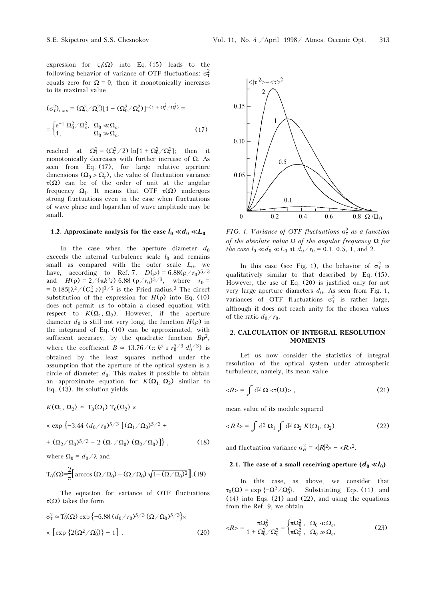expression for  $\tau_0(\Omega)$  into Eq. (15) leads to the following behavior of vertices of OTE fluctuations:  $\tau^2$ following behavior of variance of OTF fluctuations:  $\sigma_{\tau}^2$ equals zero for  $\Omega = 0$ , then it monotonically increases to its maximal value

$$
(\sigma_{\tau}^2)_{\text{max}} = (\Omega_0^2 / \Omega_c^2) [1 + (\Omega_0^2 / \Omega_c^2)]^{-(1 + \Omega_c^2 / \Omega_0^2)} =
$$
  
= 
$$
\begin{cases} e^{-1} \Omega_0^2 / \Omega_c^2, & \Omega_0 \ll \Omega_c, \\ 1, & \Omega_0 \gg \Omega_c, \end{cases}
$$
(17)

reached at  $\Omega_1^2 = (\Omega_c^2/2) \ln[1 + \Omega_0^2/\Omega_c^2]$ ; then it<br>monotonically decreases with further increase of O As monotonically decreases with further increase of  $\Omega$ . As seen from Eq. (17), for large relative aperture dimensions  $(\Omega_0 > \Omega_c)$ , the value of fluctuation variance τ(Ω) can be of the order of unit at the angular frequency  $\Omega_1$ . It means that OTF  $\tau(\Omega)$  undergoes strong fluctuations even in the case when fluctuations strong fluctuations even in the case when fluctuations of wave phase and logarithm of wave amplitude may be small.

## 1.2. Approximate analysis for the case  $l_0 \ll d_0 \ll L_0$

In the case when the aperture diameter  $d_0$ exceeds the internal turbulence scale  $l_0$  and remains small as compared with the outer scale  $L_0$ , we have, according to Ref. 7,  $D(\rho) = 6.88(\rho/r_0)^{5/3}$ and  $H(\rho) = 2/(\pi k^2 z) 6.88 (\rho/r_0)^{5/3}$ , where  $r_0 =$ =  $0.185[\lambda^2/(C_n^2 \, z)]^{3/5}$  is the Fried radius.<sup>2</sup> The direct substitution of the expression for  $H(\rho)$  into Eq. (10) does not permit us to obtain a closed equation with respect to  $K(\Omega_1, \Omega_2)$ . However, if the aperture diameter  $d_0$  is still not very long, the function  $H(\rho)$  in the integrand of Eq. (10) can be approximated, with the integrand of Eq. (10) can be approximated, with<br>sufficient accuracy, by the quadratic function  $B\rho^2$ ,<br>where the coefficient  $B \approx 13.76/(\pi k^2 z r_0^{5/3} d_0^{1/3})$  is  $\int_0^{5/3} d_0^{1/3}$  is obtained by the least squares method under the assumption that the aperture of the optical system is a circle of diameter  $d_0$ . This makes it possible to obtain an approximate equation for  $K(\Omega_1, \Omega_2)$  similar to

Eq. (13). Its solution yields  
\n
$$
K(\Omega_1, \Omega_2) \simeq T_0(\Omega_1) T_0(\Omega_2) \times
$$
\n
$$
\times \exp \{-3.44 (d_0/r_0)^{5/3} [(\Omega_1/\Omega_0)^{5/3} +
$$
\n
$$
+ (\Omega_2/\Omega_0)^{5/3} - 2 (\Omega_1/\Omega_0) (\Omega_2/\Omega_0)] \},
$$
\nwhere  $\Omega_0 = d_0/\lambda$  and

$$
T_0(\Omega) = \frac{2}{\pi} \Big[ \arccos (\Omega / \Omega_0) - (\Omega / \Omega_0) \sqrt{1 - (\Omega / \Omega_0)^2} \Big].(19)
$$

The equation for variance of OTF fluctuations

$$
\tau(\Omega) \text{ takes the form}
$$
  
\n
$$
\sigma_{\tau}^2 \approx T_0^2(\Omega) \exp \left\{-6.88 (d_0/r_0)^{5/3} (\Omega/\Omega_0)^{5/3}\right\} \times
$$
  
\n
$$
\times \left[\exp \left\{2(\Omega^2/\Omega_0^2)\right\} - 1\right].
$$
\n(20)



FIG. 1. Variance of OTF fluctuations  $\sigma_{\tau}^2$  as a function of the absolute value  $\Omega$  of the angular frequency  $\Omega$  for the case  $l_0 \ll d_0 \ll L_0$  at  $d_0/r_0 = 0.1, 0.5, 1,$  and 2.

In this case (see Fig. 1), the behavior of  $\sigma_{\tau}^2$  is qualitatively similar to that described by Eq. (15). However, the use of Eq. (20) is justified only for not very large aperture diameters  $d_0$ . As seen from Fig. 1, variances of OTF fluctuations  $\sigma_{\tau}^2$  is rather large, although it does not reach unity for the chosen values of the ratio  $d_0/r_0$ .

# **2. CALCULATION OF INTEGRAL RESOLUTION**

Let us now consider the statistics of integral resolution of the optical system under atmospheric turbulence, namely, its mean value

$$
\langle R \rangle = \int d^2 \Omega \langle \tau(\Omega) \rangle \,, \tag{21}
$$

mean value of its module squared

$$
\langle R^2 \rangle = \int d^2 \Omega_1 \int d^2 \Omega_2 K(\Omega_1, \Omega_2)
$$
 (22)

and fluctuation variance  $\sigma_R^2 = \langle |R|^2 \rangle - \langle R \rangle^2$ .

## 2.1. The case of a small receiving aperture  $(d_0 \ll l_0)$

In this case, as above, we consider that  $\tau_0(\Omega) = \exp \left\{-\Omega^2/\Omega_0^2\right\}$ Substituting Eqs. (11) and (14) into Eqs. (21) and (22), and using the equations from the Ref. 9, we obtain

$$
\langle R \rangle = \frac{\pi \Omega_0^2}{1 + \Omega_0^2 / \Omega_c^2} = \begin{cases} \pi \Omega_0^2, & \Omega_0 \ll \Omega_c, \\ \pi \Omega_c^2, & \Omega_0 \gg \Omega_c, \end{cases} \tag{23}
$$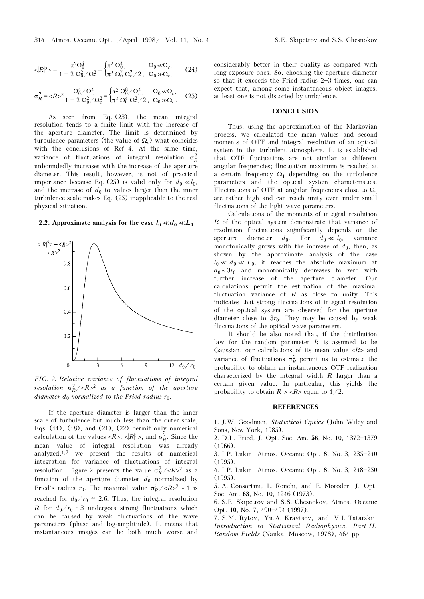$$
\langle R^2 \rangle = \frac{\pi^2 \Omega_0^4}{1 + 2 \Omega_0^2 / \Omega_c^2} = \begin{cases} \pi^2 \Omega_0^4, & \Omega_0 \ll \Omega_c, \\ \pi^2 \Omega_0^2 \Omega_c^2 / 2, & \Omega_0 \gg \Omega_c, \end{cases}
$$
 (24)

$$
\sigma_R^2 = \langle R \rangle^2 \frac{\Omega_0^4 / \Omega_c^4}{1 + 2 \Omega_0^2 / \Omega_c^2} = \begin{cases} \pi^2 \Omega_0^8 / \Omega_c^4, & \Omega_0 \ll \Omega_c, \\ \pi^2 \Omega_0^4 \Omega_c^2 / 2, & \Omega_0 \gg \Omega_c. \end{cases}
$$
 (25)

As seen from Eq. (23), the mean integral resolution tends to a finite limit with the increase of the aperture diameter. The limit is determined by turbulence parameters (the value of  $\Omega_c$ ) what coincides with the conclusions of Ref. 4. At the same time, variance of fluctuations of integral resolution  $\sigma_R^2$ unboundedly increases with the increase of the aperture diameter. This result, however, is not of practical importance because Eq. (25) is valid only for  $d_0 \ll l_0$ , and the increase of  $d_0$  to values larger than the inner turbulence scale makes Eq. (25) inapplicable to the real physical situation.

### 2.2. Approximate analysis for the case  $l_0 \ll d_0 \ll L_0$



FIG. 2. Relative variance of fluctuations of integral resolution  $\sigma_R^2 / \langle R \rangle^2$  as a function of the aperture diameter  $d_0$  normalized to the Fried radius  $r_0$ .

If the aperture diameter is larger than the inner scale of turbulence but much less than the outer scale, Eqs. (11), (18), and (21), (22) permit only numerical calculation of the values  $\langle R \rangle$ ,  $\langle R \rangle^2$ , and  $\sigma_R^2$ . Since the mean value of integral resolution was already analyzed,1,2 we present the results of numerical integration for variance of fluctuations of integral resolution. Figure 2 presents the value  $\sigma_R^2 / \langle R \rangle^2$  as a function of the aperture diameter  $d_0$  normalized by Fried's radius  $r_0$ . The maximal value  $\sigma_R^2 / \langle R \rangle^2 \sim 1$  is reached for  $d_0/r_0 \approx 2.6$ . Thus, the integral resolution R for  $d_0/r_0 \sim 3$  undergoes strong fluctuations which can be caused by weak fluctuations of the wave parameters (phase and log-amplitude). It means that instantaneous images can be both much worse and

considerably better in their quality as compared with long-exposure ones. So, choosing the aperture diameter so that it exceeds the Fried radius  $2-3$  times, one can expect that, among some instantaneous object images,

#### **CONCLUSION**

at least one is not distorted by turbulence.

Thus, using the approximation of the Markovian process, we calculated the mean values and second moments of OTF and integral resolution of an optical system in the turbulent atmosphere. It is established that OTF fluctuations are not similar at different angular frequencies; fluctuation maximum is reached at a certain frequency  $\Omega_1$  depending on the turbulence<br>parameters and the optical system characteristics parameters and the optical system characteristics. Fluctuations of OTF at angular frequencies close to  $\Omega_1$ are rather high and can reach unity even under small fluctuations of the light wave parameters.

Calculations of the moments of integral resolution R of the optical system demonstrate that variance of resolution fluctuations significantly depends on the aperture diameter  $d_0$ . For  $d_0 \ll l_0$ , variance monotonically grows with the increase of  $d_0$ , then, as shown by the approximate analysis of the case  $l_0 \ll d_0 \ll L_0$ , it reaches the absolute maximum at  $d_0 \sim 3r_0$  and monotonically decreases to zero with further increase of the aperture diameter. Our calculations permit the estimation of the maximal fluctuation variance of  $R$  as close to unity. This indicates that strong fluctuations of integral resolution of the optical system are observed for the aperture diameter close to  $3r_0$ . They may be caused by weak fluctuations of the optical wave parameters.

It should be also noted that, if the distribution law for the random parameter  $R$  is assumed to be Gaussian, our calculations of its mean value  $\langle R \rangle$  and variance of fluctuations  $\sigma_R^2$  permit us to estimate the probability to obtain an instantaneous OTF realization characterized by the integral width  $R$  larger than a certain given value. In particular, this yields the probability to obtain  $R > R$  equal to  $1/2$ .

#### REFERENCES

1. J.W. Goodman, Statistical Optics (John Wiley and Sons, New York, 1985).

2. D.L. Fried, J. Opt. Soc. Am. 56, No. 10, 1372-1379 (1966).

3. I.P. Lukin, Atmos. Oceanic Opt. 8, No. 3, 235-240 (1995).

4. I.P. Lukin, Atmos. Oceanic Opt. 8, No. 3, 248-250 (1995).

5. A. Consortini, L. Rouchi, and E. Moroder, J. Opt. Soc. Am. 63, No. 10, 1246 (1973).

6. S.E. Skipetrov and S.S. Chesnokov, Atmos. Oceanic Opt. 10, No. 7, 490-494 (1997).

7. S.M. Rytov, Yu.A. Kravtsov, and V.I. Tatarskii, Introduction to Statistical Radiophysics. Part II. Random Fields (Nauka, Moscow, 1978), 464 pp.